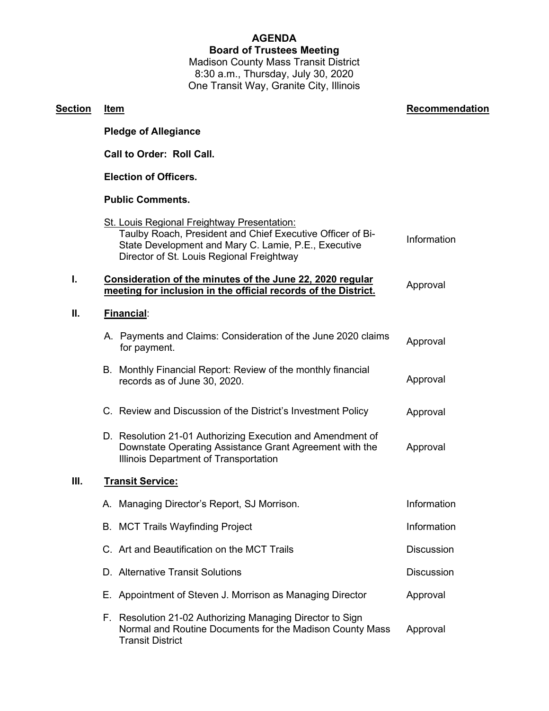## **AGENDA Board of Trustees Meeting**

Madison County Mass Transit District 8:30 a.m., Thursday, July 30, 2020 One Transit Way, Granite City, Illinois

| <b>Section</b> | <u>Item</u>                                                                                                                                                                                                           | Recommendation    |
|----------------|-----------------------------------------------------------------------------------------------------------------------------------------------------------------------------------------------------------------------|-------------------|
|                | <b>Pledge of Allegiance</b>                                                                                                                                                                                           |                   |
|                | <b>Call to Order: Roll Call.</b>                                                                                                                                                                                      |                   |
|                | <b>Election of Officers.</b>                                                                                                                                                                                          |                   |
|                | <b>Public Comments.</b>                                                                                                                                                                                               |                   |
|                | <b>St. Louis Regional Freightway Presentation:</b><br>Taulby Roach, President and Chief Executive Officer of Bi-<br>State Development and Mary C. Lamie, P.E., Executive<br>Director of St. Louis Regional Freightway | Information       |
| I.             | Consideration of the minutes of the June 22, 2020 regular<br>meeting for inclusion in the official records of the District.                                                                                           | Approval          |
| П.             | Financial:                                                                                                                                                                                                            |                   |
|                | A. Payments and Claims: Consideration of the June 2020 claims<br>for payment.                                                                                                                                         | Approval          |
|                | B. Monthly Financial Report: Review of the monthly financial<br>records as of June 30, 2020.                                                                                                                          | Approval          |
|                | C. Review and Discussion of the District's Investment Policy                                                                                                                                                          | Approval          |
|                | D. Resolution 21-01 Authorizing Execution and Amendment of<br>Downstate Operating Assistance Grant Agreement with the<br>Illinois Department of Transportation                                                        | Approval          |
| Ш.             | <b>Transit Service:</b>                                                                                                                                                                                               |                   |
|                | A. Managing Director's Report, SJ Morrison.                                                                                                                                                                           | Information       |
|                | <b>B. MCT Trails Wayfinding Project</b>                                                                                                                                                                               | Information       |
|                | C. Art and Beautification on the MCT Trails                                                                                                                                                                           | <b>Discussion</b> |
|                | D. Alternative Transit Solutions                                                                                                                                                                                      | <b>Discussion</b> |
|                | E. Appointment of Steven J. Morrison as Managing Director                                                                                                                                                             | Approval          |
|                | F. Resolution 21-02 Authorizing Managing Director to Sign<br>Normal and Routine Documents for the Madison County Mass<br><b>Transit District</b>                                                                      | Approval          |